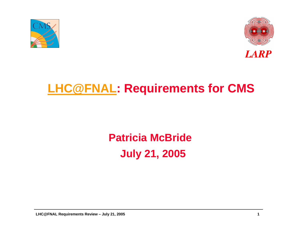



### **[LHC@FNAL](mailto:LHC@FNAL): Requirements for CMS**

## **Patricia McBrideJuly 21, 2005**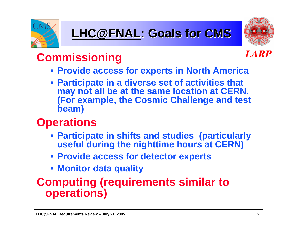



### **Commissioning**



- **Provide access for experts in North America**
- **Participate in a diverse set of activities that may not all be at the same location at CERN. (For example, the Cosmic Challenge and test beam)**

### **Operations**

- **Participate in shifts and studies (particularly useful during the nighttime hours at CERN)**
- **Provide access for detector experts**
- **Monitor data quality**

#### **Computing (requirements similar to operations)**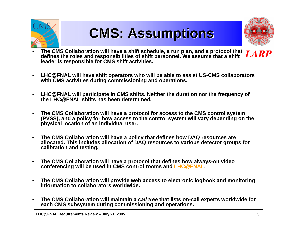

# **CMS: Assumptions CMS: Assumptions CMS: Assumptions**

- • **The CMS Collaboration will have a shift schedule, a run plan, and a protocol that defines the roles and responsibilities of shift personnel. We assume that a shift leader is responsible for CMS shift activities.**
- $\bullet$  **LHC@FNAL will h ave shift operators who will be able to assist US-CMS collaborators with CMS activities during commissioni ng a nd operations.**
- $\bullet$ • LHC@FNAL will participate in CMS shifts. Neither the duration nor the frequency of **the LHC@FNAL shifts has been determined.**
- • **The CMS Collaboration will have a protocol for access to the CMS control system (PVSS), and a p olicy for h ow access to the control system will var y depen ding on the phy sical location of an individual user.**
- $\bullet$  **The CMS Collaboration will have a p olicy that d efines how DAQ resources are allocated. This includes allocation of DAQ r esources to various detector groups for calibration and testing.**
- $\bullet$ • The CMS Collaboration will have a protocol that defines how always-on video **conferencing will be u sed in CMS control rooms and [LHC@FNAL](mailto:LHC@FNAL).**
- $\bullet$  **The CMS Collaboration will provide web access to electronic logbook and monitoring information to collaborators worldwide.**
- •• The CMS Collaboration will maintain a *call tree* that lists on-call experts worldwide for **each CMS subsy stem during commissio ning and o perations.**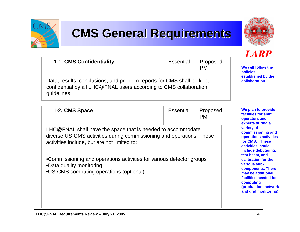

## **CMS General Requirements**

Essential

Proposed–



**LARP** 

**We will follow the polici es established b y th e collaboration.**

**We plan to provide facilities for shift operator s and exp erts during a variety of commissioning and operations a ctiviti esfor CMS. These activities couldinclude d e bugging, test beam, andcalibration for thevarious subcomponents. There may be additional facilities needed for computing (production, net w ork and grid monitoring).**

PMData, results, conclusions, and problem reports for CMS shall be kept confidential by all LHC@FNAL users according to CMS collaboration guidelines.

| 1-2. CMS Space                                                                                                                                                                     | <b>Essential</b> | Proposed-<br><b>PM</b> |
|------------------------------------------------------------------------------------------------------------------------------------------------------------------------------------|------------------|------------------------|
| LHC@FNAL shall have the space that is needed to accommodate<br>diverse US-CMS activities during commissioning and operations. These<br>activities include, but are not limited to: |                  |                        |
| •Commissioning and operations activities for various detector groups<br>•Data quality monitoring<br>•US-CMS computing operations (optional)                                        |                  |                        |

**1-1. CMS Confidentiality**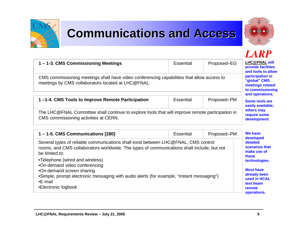

## **Communications and Access**



#### **LARP**

| 1 – 1-3. CMS Commissioning Meetings                                                                                                              | Essential                                                                                   | Proposed–EG | <b>LHC@FNAL will</b><br>provide facilities<br>and tools to allow |
|--------------------------------------------------------------------------------------------------------------------------------------------------|---------------------------------------------------------------------------------------------|-------------|------------------------------------------------------------------|
| CMS commissioning meetings shall have video conferencing capabilities that allow access to<br>meetings by CMS collaborators located at LHC@FNAL. | participation in<br>"global" CMS<br>meetings related<br>to commissioning<br>and operations. |             |                                                                  |
| 1-1-4. CMS Tools to Improve Remote Participation                                                                                                 | <b>Essential</b>                                                                            | Proposed–PM | Some tools are<br>easily available;                              |
| The LHC@FNAL Committee shall continue to explore tools that will improve remote participation in<br>CMS commissioning activities at CERN.        | others may<br>require some<br>development.                                                  |             |                                                                  |

| 1 – 1-5. CMS Communications [280]                                                                                                                                                                                                   | <b>Essential</b> | Proposed-PM | We have<br>developed                                                                                    |
|-------------------------------------------------------------------------------------------------------------------------------------------------------------------------------------------------------------------------------------|------------------|-------------|---------------------------------------------------------------------------------------------------------|
| Several types of reliable communications shall exist between LHC@FNAL, CMS control<br>rooms, and CMS collaborators worldwide. The types of communications shall include, but not<br>be limited to:                                  |                  |             | detailed<br>scenarios that<br>make use of<br>these                                                      |
| •Telephone (wired and wireless)<br>.On-demand video conferencing<br>•On-demand screen sharing<br>•Simple, prompt electronic messaging with audio alerts (for example, "instant messaging")<br>$\cdot$ E-mail<br>•Electronic logbook |                  |             | technologies.<br><b>Most have</b><br>already been<br>used in HCAL<br>test beam<br>remote<br>operations. |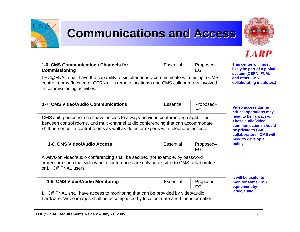### **Communications and Access**



#### **LARP**

**This center will mostlikely be part of a global system (CERN, FNAL and other CMS collaborating institute s.)**

| 1-6. CMS Communications Channels for<br><b>Commissioning</b>                                                                                                                | Essential | Proposed-<br>FG |
|-----------------------------------------------------------------------------------------------------------------------------------------------------------------------------|-----------|-----------------|
| LHC@FNAL shall have the capability to simultaneously communicate with multiple CMS<br>control rooms (located at CERN or in remote locations) and CMS collaborators involved |           |                 |

in commissioning activities.

| 1-7. CMS Video/Audio Communications                                                                                                                                                                                                                           | Essential | Proposed-<br>EG |
|---------------------------------------------------------------------------------------------------------------------------------------------------------------------------------------------------------------------------------------------------------------|-----------|-----------------|
| CMS shift personnel shall have access to always-on video conferencing capabilities<br>between control rooms, and multi-channel audio conferencing that can accommodate<br>shift personnel in control rooms as well as detector experts with telephone access. |           |                 |

| 1-8. CMS Video/Audio Access | Essential | Proposed- | neeu u<br>policy. |
|-----------------------------|-----------|-----------|-------------------|
|                             |           |           |                   |

Always-on video/audio conferencing shall be secured (for example, by password protection) such that video/audio conferences are only accessible to CMS collaborators or LHC@FNAL users.

|  | 1-9. CMS Video/Audio Monitoring |  | Proposed- |
|--|---------------------------------|--|-----------|
|--|---------------------------------|--|-----------|

LHC@FNAL shall have access to monitoring that can be provided by video/audio hardware. Video images shall be accompanied by l ocation, d ate a nd time i nfor mation.

**Video access during criti cal operations m ay need to be "al ways-on." These audio/videocommunications should be private to CMS collaborators. CMS willneed to d e v elop a**

**It will be useful to monitor some CMS equipm e nt by video/audio.**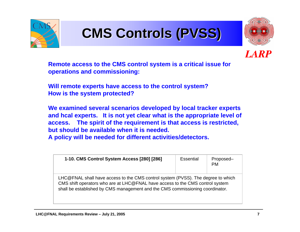

# **CMS Controls (PVSS) CMS Controls (PVSS) CMS Controls (PVSS)**





**Remote access to the CMS control system is a critical issue f or operations and commissioning:** 

**Will remote experts have access to the control system? How is the system protected?** 

**We examined several scenarios developed by local tracker experts and hcal expert s. It is not yet clear w hat is t he appropriate level of access. The spirit of t he requirement is that access is restricted, but should be available when it is needed.A policy will be needed for different activities/detectors.**

| 1-10. CMS Control System Access [280] [286]                                                                                                                                                                                                        | <b>Essential</b> | Proposed-<br><b>PM</b> |
|----------------------------------------------------------------------------------------------------------------------------------------------------------------------------------------------------------------------------------------------------|------------------|------------------------|
| LHC@FNAL shall have access to the CMS control system (PVSS). The degree to which<br>CMS shift operators who are at LHC@FNAL have access to the CMS control system<br>shall be established by CMS management and the CMS commissioning coordinator. |                  |                        |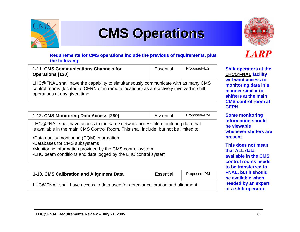

# **CMS Operations CMS Operations CMS Operations**



#### **Requirements for C MS o perations i nclu d e the previo us of req uirements, plus the following:**

| 1-11. CMS Communications Channels for<br><b>Operations [130]</b> | Essential | Proposed–EG |
|------------------------------------------------------------------|-----------|-------------|
|                                                                  |           |             |

LHC@FNAL shall have the capability to simultaneously communicate with as many CMS control rooms (located at CERN or in remote locations) as are actively involved in shift operations at any given time.

| 1-12. CMS Monitoring Data Access [280] | Essential | Proposed-PM |  |
|----------------------------------------|-----------|-------------|--|
|----------------------------------------|-----------|-------------|--|

LHC @FNAL shall h ave access to the same netw ork-accessible monitoring data that is available in the main CMS Control Room. This shall include, but not be limited to:

- •Data q uality monitori ng (DQM) i nformation
- •Databases for CMS subsystems
- •Monitoring information provided by the CMS control system
- •LHC b e am con ditions and d ata l ogged by the LHC control syste m

| Proposed–PM<br>1-13. CMS Calibration and Alignment Data<br>Essential            |  |  |  |
|---------------------------------------------------------------------------------|--|--|--|
| LHC@FNAL shall have access to data used for detector calibration and alignment. |  |  |  |

#### LARP

**Shift o perators at the [LHC@FNAL](mailto:LHC@FNAL) facility will want access to monitoring data in a manner similar to shifters at the main CMS control room at CERN.** 

**Some monitoring information should be viewablewhenever shifters are present.**

**This does not meanthat ALL data available in the CMS control rooms needs to be transferred to FNAL, but it should be available when needed b y an expert or a shift operator.**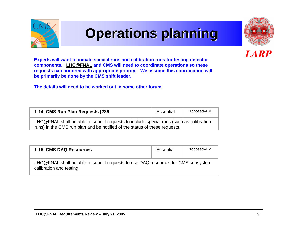

## **Operations planning Operations planning Operations planning**



LARP

**Experts will want to initiate special runs and calibration runs f or testing detector components. [LHC@FNAL](mailto:LHC@FNAL) and CMS will need to coordinate oper ations so these requests c an honored with appropriate priorit y. We assume this coordination will be primarily be done by the CMS shift leader.**

**The details will need to be worked out in some other forum.**

| 1-14. CMS Run Plan Requests [286]                                                                                                                                    | Essential | Proposed-PM |  |
|----------------------------------------------------------------------------------------------------------------------------------------------------------------------|-----------|-------------|--|
| LHC@FNAL shall be able to submit requests to include special runs (such as calibration<br>runs) in the CMS run plan and be notified of the status of these requests. |           |             |  |

| 1-15. CMS DAQ Resources                                                                                      | Essential | Proposed–PM |
|--------------------------------------------------------------------------------------------------------------|-----------|-------------|
| LHC@FNAL shall be able to submit requests to use DAQ resources for CMS subsystem<br>calibration and testing. |           |             |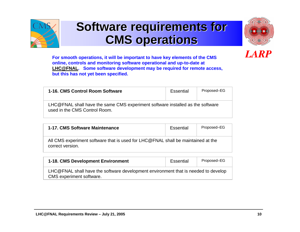

### **Software requirements for CMS operations CMS operations CMS operations**



**LARP** 

**For smooth operations, it will be importa nt to have key eleme nts of t he CMS online, controls and monitoring soft w are operational and up-to-date at [LHC@FNAL](mailto:LHC@FNAL). Some software dev elopment may be required for remote access, but this has not y et been specified.**

| 1-16, CMS Control Room Software                                                                                 | Essential | Proposed–EG |
|-----------------------------------------------------------------------------------------------------------------|-----------|-------------|
| LHC@FNAL shall have the same CMS experiment software installed as the software<br>used in the CMS Control Room. |           |             |

| 1-17. CMS Software Maintenance                                                                       | Essential | Proposed–EG |
|------------------------------------------------------------------------------------------------------|-----------|-------------|
| All CMS experiment software that is used for LHC@FNAL shall be maintained at the<br>correct version. |           |             |

| <b>1-18. CMS Development Environment</b>                                                                       | Essential | Proposed–EG |
|----------------------------------------------------------------------------------------------------------------|-----------|-------------|
| LHC@FNAL shall have the software development environment that is needed to develop<br>CMS experiment software. |           |             |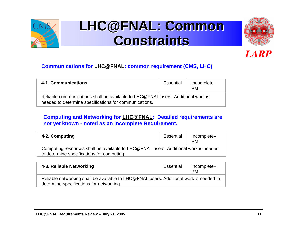

## **LHC@FNAL: Common LHC@FNAL: Common LHC@FNAL: Common Constraints Constraints Constraints**



#### **LARP**

#### **Co m munications for [LHC@FNAL](mailto:LHC@FNAL): common requirement (CMS, LHC)**

| 4-1. Communications                                                                                                                        | Essential | Incomplete-<br><b>PM</b> |
|--------------------------------------------------------------------------------------------------------------------------------------------|-----------|--------------------------|
| Reliable communications shall be available to LHC@FNAL users. Additional work is<br>needed to determine specifications for communications. |           |                          |

#### **Computing and Networking for [LHC@FNAL](mailto:LHC@FNAL): Detailed requirements are not yet known - noted as an Incom plete Requirement.**

| 4-2. Computing                                                                                                                    | Essential | Incomplete-<br><b>PM</b> |
|-----------------------------------------------------------------------------------------------------------------------------------|-----------|--------------------------|
| Computing resources shall be available to LHC@FNAL users. Additional work is needed<br>to determine specifications for computing. |           |                          |

| 4-3. Reliable Networking                                                                                                           | Essential | Incomplete-<br><b>PM</b> |
|------------------------------------------------------------------------------------------------------------------------------------|-----------|--------------------------|
| Reliable networking shall be available to LHC@FNAL users. Additional work is needed to<br>determine specifications for networking. |           |                          |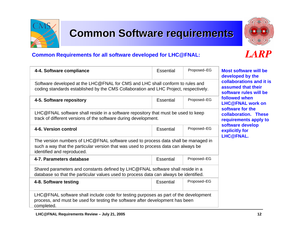### **Common Software requirements**

#### **Common Requirements for all software developed for LHC@FNAL:**

| 4-4. Software compliance                                                                                                                                                                              | Essential        | Proposed-EG |
|-------------------------------------------------------------------------------------------------------------------------------------------------------------------------------------------------------|------------------|-------------|
| Software developed at the LHC@FNAL for CMS and LHC shall conform to rules and<br>coding standards established by the CMS Collaboration and LHC Project, respectively.                                 |                  |             |
| 4-5. Software repository                                                                                                                                                                              | <b>Essential</b> | Proposed-EG |
| LHC@FNAL software shall reside in a software repository that must be used to keep<br>track of different versions of the software during development.                                                  |                  |             |
| 4-6. Version control                                                                                                                                                                                  | <b>Essential</b> | Proposed-EG |
| The version numbers of LHC@FNAL software used to process data shall be managed in<br>such a way that the particular version that was used to process data can always be<br>identified and reproduced. |                  |             |
| 4-7. Parameters database                                                                                                                                                                              | <b>Essential</b> | Proposed-EG |
| Shared parameters and constants defined by LHC@FNAL software shall reside in a<br>database so that the particular values used to process data can always be identified.                               |                  |             |
| 4-8. Software testing                                                                                                                                                                                 | Essential        | Proposed-EG |
| LHC@FNAL software shall include code for testing purposes as part of the development<br>process, and must be used for testing the software after development has been<br>completed.                   |                  |             |

#### **Most software will be developed b y the collaborations and it is assumed that their software rules will be followed when LHC@FNAL w ork on software for the collaboration. These requirements appl y t o** software develop **explicitly for LHC@FNAL.**

### **LARP**